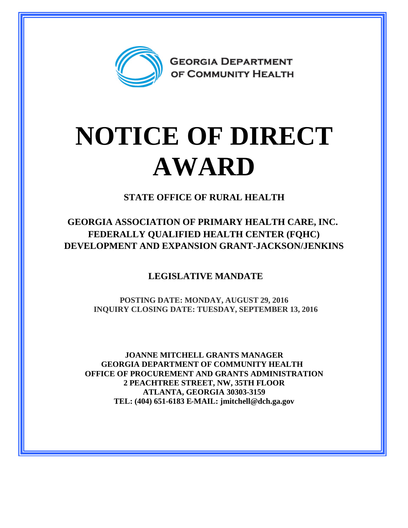

## **NOTICE OF DIRECT AWARD**

**STATE OFFICE OF RURAL HEALTH**

**GEORGIA ASSOCIATION OF PRIMARY HEALTH CARE, INC. FEDERALLY QUALIFIED HEALTH CENTER (FQHC) DEVELOPMENT AND EXPANSION GRANT-JACKSON/JENKINS**

**LEGISLATIVE MANDATE**

**POSTING DATE: MONDAY, AUGUST 29, 2016 INQUIRY CLOSING DATE: TUESDAY, SEPTEMBER 13, 2016**

**JOANNE MITCHELL GRANTS MANAGER GEORGIA DEPARTMENT OF COMMUNITY HEALTH OFFICE OF PROCUREMENT AND GRANTS ADMINISTRATION 2 PEACHTREE STREET, NW, 35TH FLOOR ATLANTA, GEORGIA 30303-3159 TEL: (404) 651-6183 E-MAIL: jmitchell@dch.ga.gov**